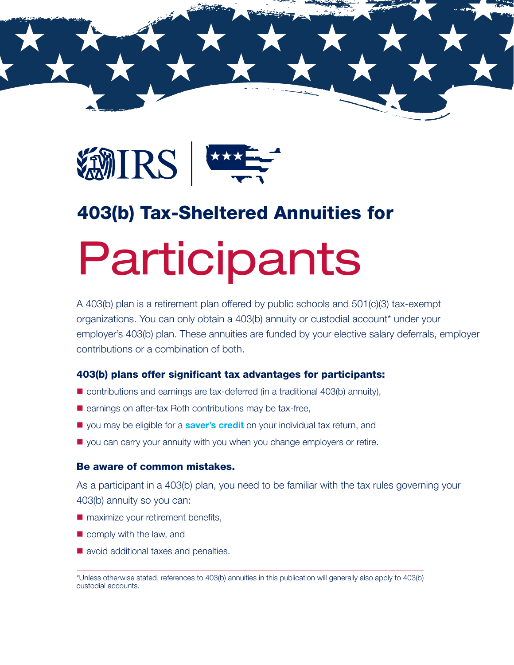



### 403(b) Tax-Sheltered Annuities for

# Participants

A 403(b) plan is a retirement plan offered by public schools and 501(c)(3) tax-exempt organizations. You can only obtain a 403(b) annuity or custodial account\* under your employer's 403(b) plan. These annuities are funded by your elective salary deferrals, employer contributions or a combination of both.

#### 403(b) plans offer significant tax advantages for participants:

- contributions and earnings are tax-deferred (in a traditional 403(b) annuity),
- $\blacksquare$  earnings on after-tax Roth contributions may be tax-free,
- you may be eligible for a **[saver's credit](https://www.irs.gov/retirement-plans/plan-participant-employee/retirement-savings-contributions-savers-credit)** on your individual tax return, and
- **U** you can carry your annuity with you when you change employers or retire.

#### Be aware of common mistakes.

As a participant in a 403(b) plan, you need to be familiar with the tax rules governing your 403(b) annuity so you can:

- $\blacksquare$  maximize your retirement benefits,
- **O** comply with the law, and
- avoid additional taxes and penalties.

<sup>\*</sup>Unless otherwise stated, references to 403(b) annuities in this publication will generally also apply to 403(b) custodial accounts.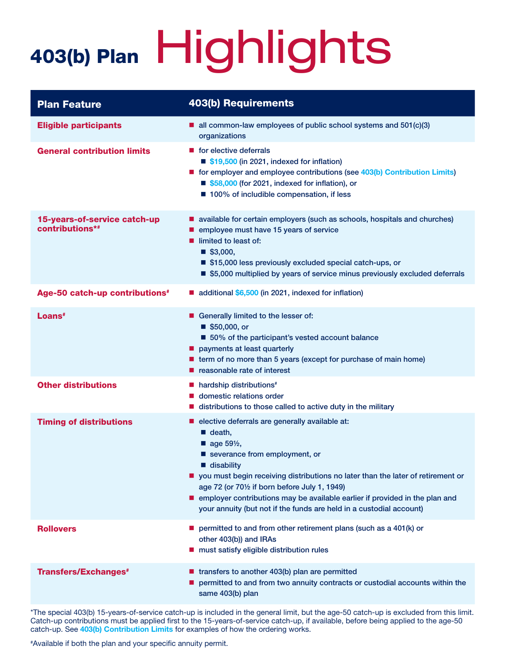# 403(b) Plan Highlights

| <b>Plan Feature</b>                             | <b>403(b) Requirements</b>                                                                                                                                                                                                                                                                                                                                                                                                                                                |
|-------------------------------------------------|---------------------------------------------------------------------------------------------------------------------------------------------------------------------------------------------------------------------------------------------------------------------------------------------------------------------------------------------------------------------------------------------------------------------------------------------------------------------------|
| <b>Eligible participants</b>                    | $\blacksquare$ all common-law employees of public school systems and 501(c)(3)<br>organizations                                                                                                                                                                                                                                                                                                                                                                           |
| <b>General contribution limits</b>              | ■ for elective deferrals<br>■ \$19,500 (in 2021, indexed for inflation)<br>■ for employer and employee contributions (see 403(b) Contribution Limits)<br>■ \$58,000 (for 2021, indexed for inflation), or<br>100% of includible compensation, if less                                                                                                                                                                                                                     |
| 15-years-of-service catch-up<br>contributions*# | ■ available for certain employers (such as schools, hospitals and churches)<br>employee must have 15 years of service<br>limited to least of:<br>$\blacksquare$ \$3,000,<br>■ \$15,000 less previously excluded special catch-ups, or<br>■ \$5,000 multiplied by years of service minus previously excluded deferrals                                                                                                                                                     |
| Age-50 catch-up contributions <sup>#</sup>      | additional \$6,500 (in 2021, indexed for inflation)                                                                                                                                                                                                                                                                                                                                                                                                                       |
| Loans <sup>#</sup>                              | Generally limited to the lesser of:<br>■ \$50,000, or<br>50% of the participant's vested account balance<br>payments at least quarterly<br>■ term of no more than 5 years (except for purchase of main home)<br>$\blacksquare$ reasonable rate of interest                                                                                                                                                                                                                |
| <b>Other distributions</b>                      | $\blacksquare$ hardship distributions <sup>#</sup><br>domestic relations order<br>distributions to those called to active duty in the military                                                                                                                                                                                                                                                                                                                            |
| <b>Timing of distributions</b>                  | elective deferrals are generally available at:<br>$\blacksquare$ death.<br>$\blacksquare$ age 59 $\frac{1}{2}$ ,<br>severance from employment, or<br>■ disability<br>gou must begin receiving distributions no later than the later of retirement or<br>age 72 (or 70 <sup>1/2</sup> if born before July 1, 1949)<br>■ employer contributions may be available earlier if provided in the plan and<br>your annuity (but not if the funds are held in a custodial account) |
| <b>Rollovers</b>                                | permitted to and from other retirement plans (such as a $401(k)$ or<br>other 403(b)) and IRAs<br>must satisfy eligible distribution rules                                                                                                                                                                                                                                                                                                                                 |
| <b>Transfers/Exchanges#</b>                     | ransfers to another 403(b) plan are permitted<br>permitted to and from two annuity contracts or custodial accounts within the<br>same 403(b) plan                                                                                                                                                                                                                                                                                                                         |

\*The special 403(b) 15-years-of-service catch-up is included in the general limit, but the age-50 catch-up is excluded from this limit. Catch-up contributions must be applied first to the 15-years-of-service catch-up, if available, before being applied to the age-50 catch-up. See [403\(b\) Contribution Limits](https://www.irs.gov/retirement-plans/plan-participant-employee/retirement-topics-403b-contribution-limits) for examples of how the ordering works.

# Available if both the plan and your specific annuity permit.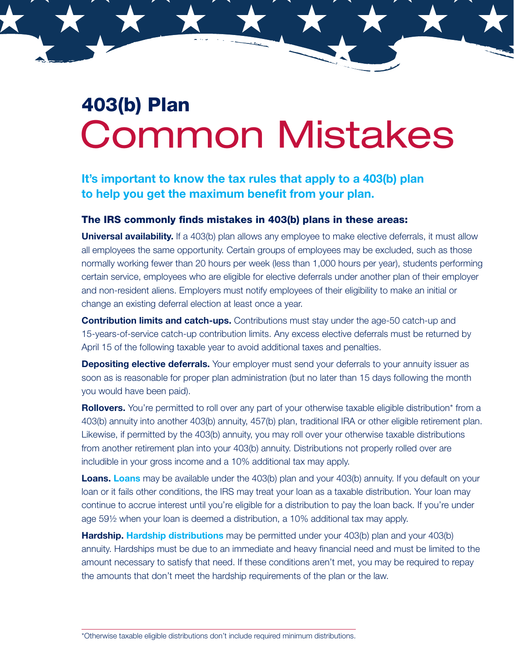## 403(b) Plan Common Mistakes

It's important to know the tax rules that apply to a 403(b) plan to help you get the maximum benefit from your plan.

#### The IRS commonly finds mistakes in 403(b) plans in these areas:

**Universal availability.** If a 403(b) plan allows any employee to make elective deferrals, it must allow all employees the same opportunity. Certain groups of employees may be excluded, such as those normally working fewer than 20 hours per week (less than 1,000 hours per year), students performing certain service, employees who are eligible for elective deferrals under another plan of their employer and non-resident aliens. Employers must notify employees of their eligibility to make an initial or change an existing deferral election at least once a year.

**Contribution limits and catch-ups.** Contributions must stay under the age-50 catch-up and 15-years-of-service catch-up contribution limits. Any excess elective deferrals must be returned by April 15 of the following taxable year to avoid additional taxes and penalties.

**Depositing elective deferrals.** Your employer must send your deferrals to your annuity issuer as soon as is reasonable for proper plan administration (but no later than 15 days following the month you would have been paid).

**Rollovers.** You're permitted to roll over any part of your otherwise taxable eligible distribution\* from a 403(b) annuity into another 403(b) annuity, 457(b) plan, traditional IRA or other eligible retirement plan. Likewise, if permitted by the 403(b) annuity, you may roll over your otherwise taxable distributions from another retirement plan into your 403(b) annuity. Distributions not properly rolled over are includible in your gross income and a 10% additional tax may apply.

**[Loans](https://www.irs.gov/retirement-plans/plan-participant-employee/retirement-topics-loans). Loans** may be available under the 403(b) plan and your 403(b) annuity. If you default on your loan or it fails other conditions, the IRS may treat your loan as a taxable distribution. Your loan may continue to accrue interest until you're eligible for a distribution to pay the loan back. If you're under age 59½ when your loan is deemed a distribution, a 10% additional tax may apply.

Hardship. [Hardship distributions](https://www.irs.gov/retirement-plans/plan-participant-employee/retirement-topics-hardship-distributions) may be permitted under your 403(b) plan and your 403(b) annuity. Hardships must be due to an immediate and heavy financial need and must be limited to the amount necessary to satisfy that need. If these conditions aren't met, you may be required to repay the amounts that don't meet the hardship requirements of the plan or the law.

<sup>\*</sup>Otherwise taxable eligible distributions don't include required minimum distributions.